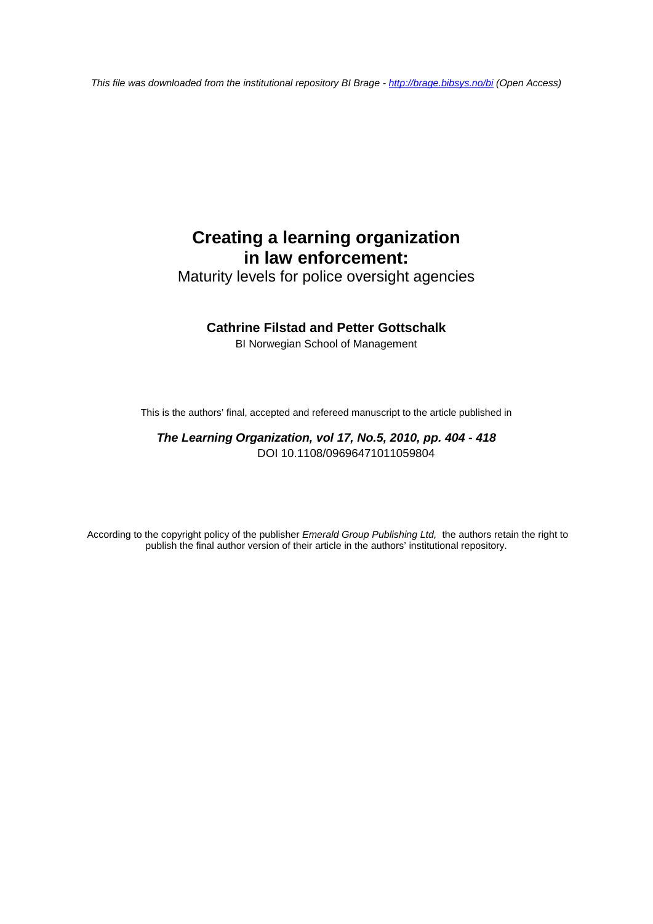*This file was downloaded from the institutional repository BI Brage - <http://brage.bibsys.no/bi> (Open Access)*

# **Creating a learning organization in law enforcement:**

Maturity levels for police oversight agencies

#### **Cathrine Filstad and Petter Gottschalk**

BI Norwegian School of Management

This is the authors' final, accepted and refereed manuscript to the article published in

#### *The Learning Organization, vol 17, No.5, 2010, pp. 404 - 418* DOI 10.1108/09696471011059804

According to the copyright policy of the publisher *Emerald Group Publishing Ltd,* the authors retain the right to publish the final author version of their article in the authors' institutional repository.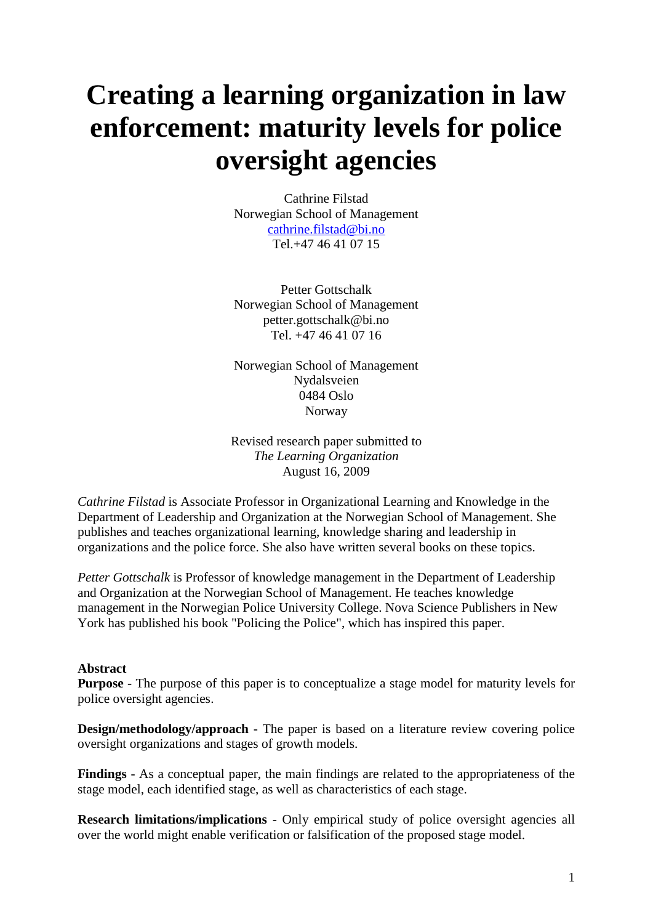# **Creating a learning organization in law enforcement: maturity levels for police oversight agencies**

Cathrine Filstad Norwegian School of Management [cathrine.filstad@bi.no](mailto:cathrine.filstad@bi.no) Tel.+47 46 41 07 15

Petter Gottschalk Norwegian School of Management petter.gottschalk@bi.no Tel. +47 46 41 07 16

Norwegian School of Management Nydalsveien 0484 Oslo Norway

Revised research paper submitted to *The Learning Organization* August 16, 2009

*Cathrine Filstad* is Associate Professor in Organizational Learning and Knowledge in the Department of Leadership and Organization at the Norwegian School of Management. She publishes and teaches organizational learning, knowledge sharing and leadership in organizations and the police force. She also have written several books on these topics.

*Petter Gottschalk* is Professor of knowledge management in the Department of Leadership and Organization at the Norwegian School of Management. He teaches knowledge management in the Norwegian Police University College. Nova Science Publishers in New York has published his book "Policing the Police", which has inspired this paper.

#### **Abstract**

**Purpose** - The purpose of this paper is to conceptualize a stage model for maturity levels for police oversight agencies.

**Design/methodology/approach** - The paper is based on a literature review covering police oversight organizations and stages of growth models.

**Findings** - As a conceptual paper, the main findings are related to the appropriateness of the stage model, each identified stage, as well as characteristics of each stage.

**Research limitations/implications** - Only empirical study of police oversight agencies all over the world might enable verification or falsification of the proposed stage model.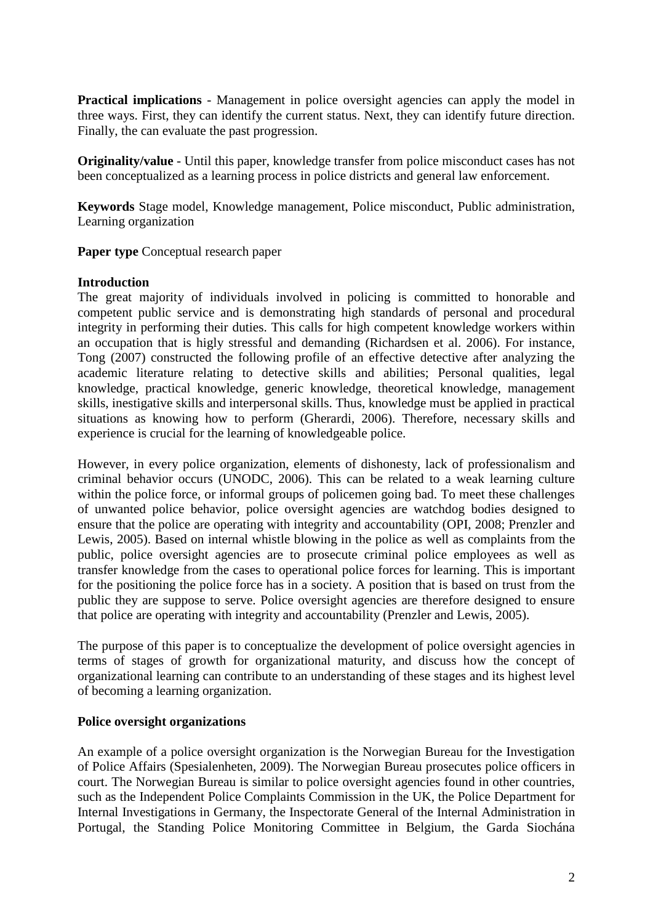**Practical implications** - Management in police oversight agencies can apply the model in three ways. First, they can identify the current status. Next, they can identify future direction. Finally, the can evaluate the past progression.

**Originality/value** - Until this paper, knowledge transfer from police misconduct cases has not been conceptualized as a learning process in police districts and general law enforcement.

**Keywords** Stage model, Knowledge management, Police misconduct, Public administration, Learning organization

**Paper type** Conceptual research paper

# **Introduction**

The great majority of individuals involved in policing is committed to honorable and competent public service and is demonstrating high standards of personal and procedural integrity in performing their duties. This calls for high competent knowledge workers within an occupation that is higly stressful and demanding (Richardsen et al. 2006). For instance, Tong (2007) constructed the following profile of an effective detective after analyzing the academic literature relating to detective skills and abilities; Personal qualities, legal knowledge, practical knowledge, generic knowledge, theoretical knowledge, management skills, inestigative skills and interpersonal skills. Thus, knowledge must be applied in practical situations as knowing how to perform (Gherardi, 2006). Therefore, necessary skills and experience is crucial for the learning of knowledgeable police.

However, in every police organization, elements of dishonesty, lack of professionalism and criminal behavior occurs (UNODC, 2006). This can be related to a weak learning culture within the police force, or informal groups of policemen going bad. To meet these challenges of unwanted police behavior, police oversight agencies are watchdog bodies designed to ensure that the police are operating with integrity and accountability (OPI, 2008; Prenzler and Lewis, 2005). Based on internal whistle blowing in the police as well as complaints from the public, police oversight agencies are to prosecute criminal police employees as well as transfer knowledge from the cases to operational police forces for learning. This is important for the positioning the police force has in a society. A position that is based on trust from the public they are suppose to serve. Police oversight agencies are therefore designed to ensure that police are operating with integrity and accountability (Prenzler and Lewis, 2005).

The purpose of this paper is to conceptualize the development of police oversight agencies in terms of stages of growth for organizational maturity, and discuss how the concept of organizational learning can contribute to an understanding of these stages and its highest level of becoming a learning organization.

#### **Police oversight organizations**

An example of a police oversight organization is the Norwegian Bureau for the Investigation of Police Affairs (Spesialenheten, 2009). The Norwegian Bureau prosecutes police officers in court. The Norwegian Bureau is similar to police oversight agencies found in other countries, such as the Independent Police Complaints Commission in the UK, the Police Department for Internal Investigations in Germany, the Inspectorate General of the Internal Administration in Portugal, the Standing Police Monitoring Committee in Belgium, the Garda Siochána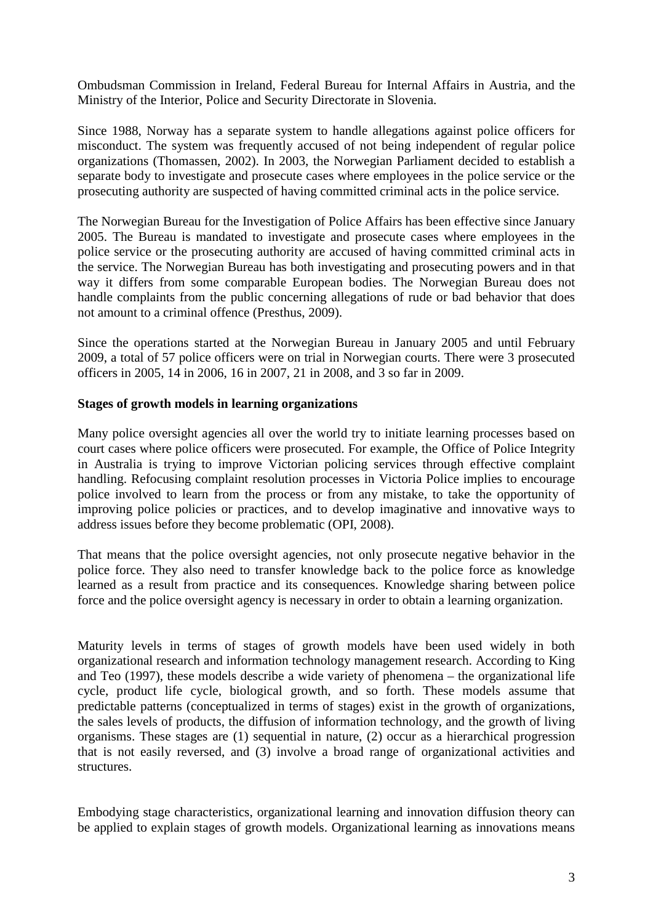Ombudsman Commission in Ireland, Federal Bureau for Internal Affairs in Austria, and the Ministry of the Interior, Police and Security Directorate in Slovenia.

Since 1988, Norway has a separate system to handle allegations against police officers for misconduct. The system was frequently accused of not being independent of regular police organizations (Thomassen, 2002). In 2003, the Norwegian Parliament decided to establish a separate body to investigate and prosecute cases where employees in the police service or the prosecuting authority are suspected of having committed criminal acts in the police service.

The Norwegian Bureau for the Investigation of Police Affairs has been effective since January 2005. The Bureau is mandated to investigate and prosecute cases where employees in the police service or the prosecuting authority are accused of having committed criminal acts in the service. The Norwegian Bureau has both investigating and prosecuting powers and in that way it differs from some comparable European bodies. The Norwegian Bureau does not handle complaints from the public concerning allegations of rude or bad behavior that does not amount to a criminal offence (Presthus, 2009).

Since the operations started at the Norwegian Bureau in January 2005 and until February 2009, a total of 57 police officers were on trial in Norwegian courts. There were 3 prosecuted officers in 2005, 14 in 2006, 16 in 2007, 21 in 2008, and 3 so far in 2009.

# **Stages of growth models in learning organizations**

Many police oversight agencies all over the world try to initiate learning processes based on court cases where police officers were prosecuted. For example, the Office of Police Integrity in Australia is trying to improve Victorian policing services through effective complaint handling. Refocusing complaint resolution processes in Victoria Police implies to encourage police involved to learn from the process or from any mistake, to take the opportunity of improving police policies or practices, and to develop imaginative and innovative ways to address issues before they become problematic (OPI, 2008).

That means that the police oversight agencies, not only prosecute negative behavior in the police force. They also need to transfer knowledge back to the police force as knowledge learned as a result from practice and its consequences. Knowledge sharing between police force and the police oversight agency is necessary in order to obtain a learning organization.

Maturity levels in terms of stages of growth models have been used widely in both organizational research and information technology management research. According to King and Teo (1997), these models describe a wide variety of phenomena – the organizational life cycle, product life cycle, biological growth, and so forth. These models assume that predictable patterns (conceptualized in terms of stages) exist in the growth of organizations, the sales levels of products, the diffusion of information technology, and the growth of living organisms. These stages are (1) sequential in nature, (2) occur as a hierarchical progression that is not easily reversed, and (3) involve a broad range of organizational activities and structures.

Embodying stage characteristics, organizational learning and innovation diffusion theory can be applied to explain stages of growth models. Organizational learning as innovations means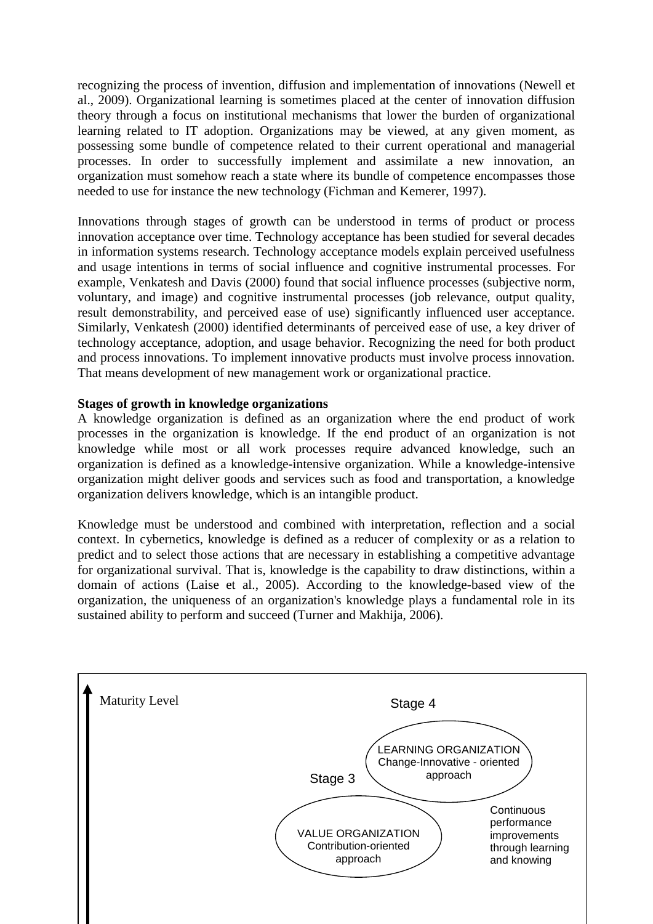recognizing the process of invention, diffusion and implementation of innovations (Newell et al., 2009). Organizational learning is sometimes placed at the center of innovation diffusion theory through a focus on institutional mechanisms that lower the burden of organizational learning related to IT adoption. Organizations may be viewed, at any given moment, as possessing some bundle of competence related to their current operational and managerial processes. In order to successfully implement and assimilate a new innovation, an organization must somehow reach a state where its bundle of competence encompasses those needed to use for instance the new technology (Fichman and Kemerer, 1997).

Innovations through stages of growth can be understood in terms of product or process innovation acceptance over time. Technology acceptance has been studied for several decades in information systems research. Technology acceptance models explain perceived usefulness and usage intentions in terms of social influence and cognitive instrumental processes. For example, Venkatesh and Davis (2000) found that social influence processes (subjective norm, voluntary, and image) and cognitive instrumental processes (job relevance, output quality, result demonstrability, and perceived ease of use) significantly influenced user acceptance. Similarly, Venkatesh (2000) identified determinants of perceived ease of use, a key driver of technology acceptance, adoption, and usage behavior. Recognizing the need for both product and process innovations. To implement innovative products must involve process innovation. That means development of new management work or organizational practice.

#### **Stages of growth in knowledge organizations**

A knowledge organization is defined as an organization where the end product of work processes in the organization is knowledge. If the end product of an organization is not knowledge while most or all work processes require advanced knowledge, such an organization is defined as a knowledge-intensive organization. While a knowledge-intensive organization might deliver goods and services such as food and transportation, a knowledge organization delivers knowledge, which is an intangible product.

Knowledge must be understood and combined with interpretation, reflection and a social context. In cybernetics, knowledge is defined as a reducer of complexity or as a relation to predict and to select those actions that are necessary in establishing a competitive advantage for organizational survival. That is, knowledge is the capability to draw distinctions, within a domain of actions (Laise et al., 2005). According to the knowledge-based view of the organization, the uniqueness of an organization's knowledge plays a fundamental role in its sustained ability to perform and succeed (Turner and Makhija, 2006).

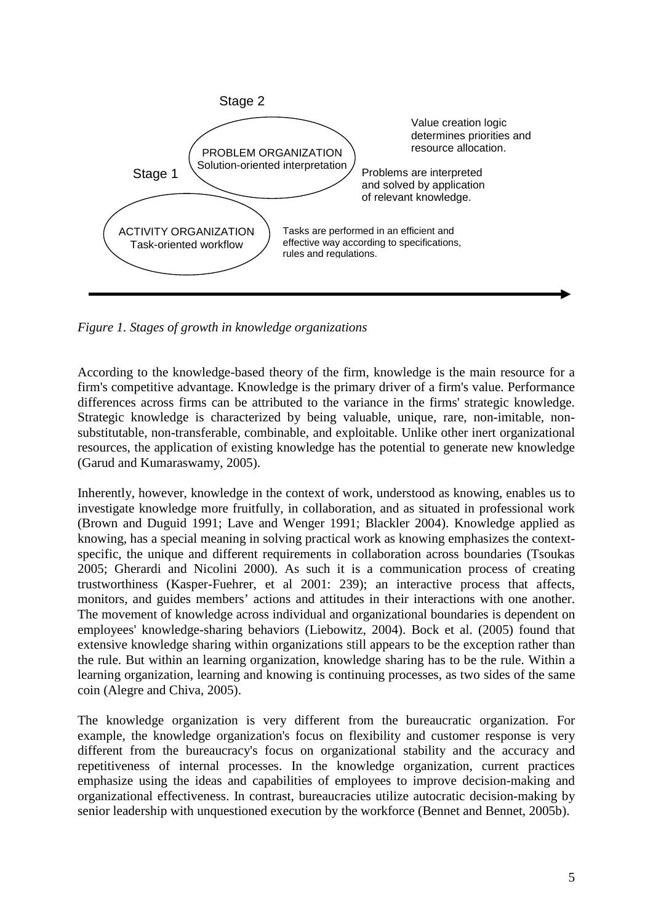

*Figure 1. Stages of growth in knowledge organizations*

According to the knowledge-based theory of the firm, knowledge is the main resource for a firm's competitive advantage. Knowledge is the primary driver of a firm's value. Performance differences across firms can be attributed to the variance in the firms' strategic knowledge. Strategic knowledge is characterized by being valuable, unique, rare, non-imitable, nonsubstitutable, non-transferable, combinable, and exploitable. Unlike other inert organizational resources, the application of existing knowledge has the potential to generate new knowledge (Garud and Kumaraswamy, 2005).

Inherently, however, knowledge in the context of work, understood as knowing, enables us to investigate knowledge more fruitfully, in collaboration, and as situated in professional work (Brown and Duguid 1991; Lave and Wenger 1991; Blackler 2004). Knowledge applied as knowing, has a special meaning in solving practical work as knowing emphasizes the contextspecific, the unique and different requirements in collaboration across boundaries (Tsoukas 2005; Gherardi and Nicolini 2000). As such it is a communication process of creating trustworthiness (Kasper-Fuehrer, et al 2001: 239); an interactive process that affects, monitors, and guides members' actions and attitudes in their interactions with one another. The movement of knowledge across individual and organizational boundaries is dependent on employees' knowledge-sharing behaviors (Liebowitz, 2004). Bock et al. (2005) found that extensive knowledge sharing within organizations still appears to be the exception rather than the rule. But within an learning organization, knowledge sharing has to be the rule. Within a learning organization, learning and knowing is continuing processes, as two sides of the same coin (Alegre and Chiva, 2005).

The knowledge organization is very different from the bureaucratic organization. For example, the knowledge organization's focus on flexibility and customer response is very different from the bureaucracy's focus on organizational stability and the accuracy and repetitiveness of internal processes. In the knowledge organization, current practices emphasize using the ideas and capabilities of employees to improve decision-making and organizational effectiveness. In contrast, bureaucracies utilize autocratic decision-making by senior leadership with unquestioned execution by the workforce (Bennet and Bennet, 2005b).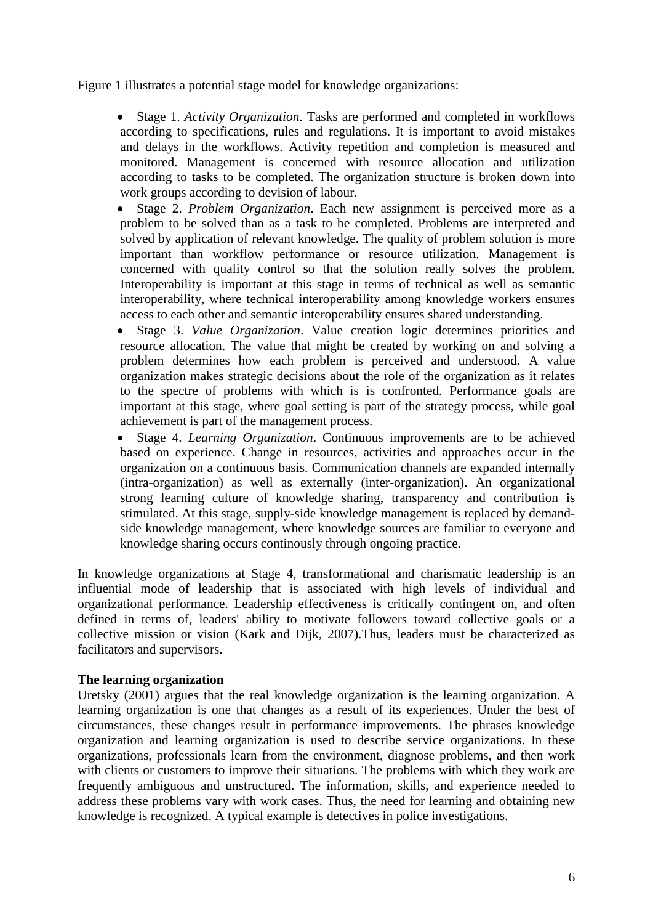Figure 1 illustrates a potential stage model for knowledge organizations:

- Stage 1. *Activity Organization*. Tasks are performed and completed in workflows according to specifications, rules and regulations. It is important to avoid mistakes and delays in the workflows. Activity repetition and completion is measured and monitored. Management is concerned with resource allocation and utilization according to tasks to be completed. The organization structure is broken down into work groups according to devision of labour.
- Stage 2. *Problem Organization*. Each new assignment is perceived more as a problem to be solved than as a task to be completed. Problems are interpreted and solved by application of relevant knowledge. The quality of problem solution is more important than workflow performance or resource utilization. Management is concerned with quality control so that the solution really solves the problem. Interoperability is important at this stage in terms of technical as well as semantic interoperability, where technical interoperability among knowledge workers ensures access to each other and semantic interoperability ensures shared understanding.
- Stage 3. *Value Organization*. Value creation logic determines priorities and resource allocation. The value that might be created by working on and solving a problem determines how each problem is perceived and understood. A value organization makes strategic decisions about the role of the organization as it relates to the spectre of problems with which is is confronted. Performance goals are important at this stage, where goal setting is part of the strategy process, while goal achievement is part of the management process.
- Stage 4. *Learning Organization*. Continuous improvements are to be achieved based on experience. Change in resources, activities and approaches occur in the organization on a continuous basis. Communication channels are expanded internally (intra-organization) as well as externally (inter-organization). An organizational strong learning culture of knowledge sharing, transparency and contribution is stimulated. At this stage, supply-side knowledge management is replaced by demandside knowledge management, where knowledge sources are familiar to everyone and knowledge sharing occurs continously through ongoing practice.

In knowledge organizations at Stage 4, transformational and charismatic leadership is an influential mode of leadership that is associated with high levels of individual and organizational performance. Leadership effectiveness is critically contingent on, and often defined in terms of, leaders' ability to motivate followers toward collective goals or a collective mission or vision (Kark and Dijk, 2007).Thus, leaders must be characterized as facilitators and supervisors.

# **The learning organization**

Uretsky (2001) argues that the real knowledge organization is the learning organization. A learning organization is one that changes as a result of its experiences. Under the best of circumstances, these changes result in performance improvements. The phrases knowledge organization and learning organization is used to describe service organizations. In these organizations, professionals learn from the environment, diagnose problems, and then work with clients or customers to improve their situations. The problems with which they work are frequently ambiguous and unstructured. The information, skills, and experience needed to address these problems vary with work cases. Thus, the need for learning and obtaining new knowledge is recognized. A typical example is detectives in police investigations.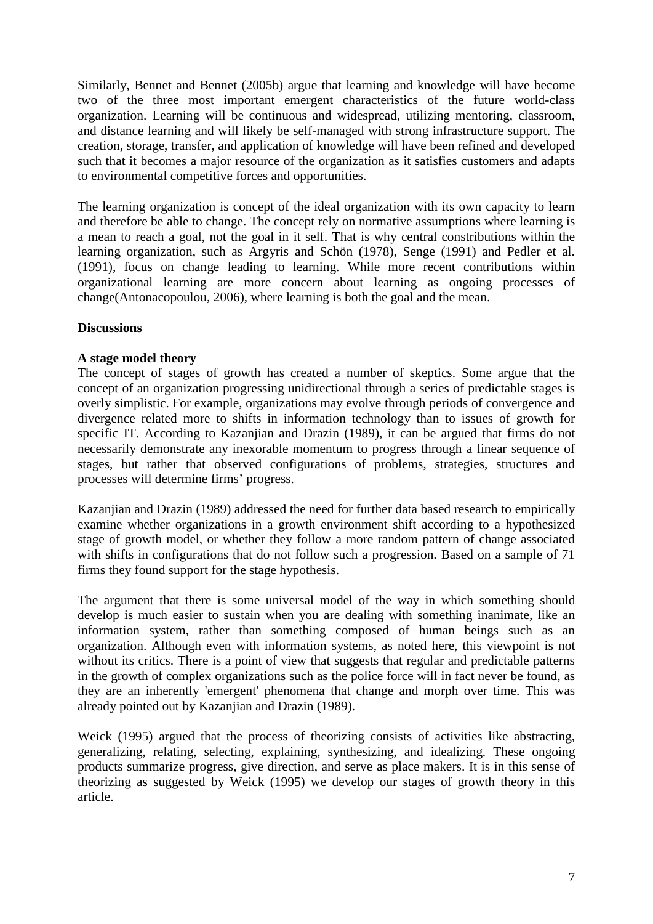Similarly, Bennet and Bennet (2005b) argue that learning and knowledge will have become two of the three most important emergent characteristics of the future world-class organization. Learning will be continuous and widespread, utilizing mentoring, classroom, and distance learning and will likely be self-managed with strong infrastructure support. The creation, storage, transfer, and application of knowledge will have been refined and developed such that it becomes a major resource of the organization as it satisfies customers and adapts to environmental competitive forces and opportunities.

The learning organization is concept of the ideal organization with its own capacity to learn and therefore be able to change. The concept rely on normative assumptions where learning is a mean to reach a goal, not the goal in it self. That is why central constributions within the learning organization, such as Argyris and Schön (1978), Senge (1991) and Pedler et al. (1991), focus on change leading to learning. While more recent contributions within organizational learning are more concern about learning as ongoing processes of change(Antonacopoulou, 2006), where learning is both the goal and the mean.

# **Discussions**

# **A stage model theory**

The concept of stages of growth has created a number of skeptics. Some argue that the concept of an organization progressing unidirectional through a series of predictable stages is overly simplistic. For example, organizations may evolve through periods of convergence and divergence related more to shifts in information technology than to issues of growth for specific IT. According to Kazanjian and Drazin (1989), it can be argued that firms do not necessarily demonstrate any inexorable momentum to progress through a linear sequence of stages, but rather that observed configurations of problems, strategies, structures and processes will determine firms' progress.

Kazanjian and Drazin (1989) addressed the need for further data based research to empirically examine whether organizations in a growth environment shift according to a hypothesized stage of growth model, or whether they follow a more random pattern of change associated with shifts in configurations that do not follow such a progression. Based on a sample of 71 firms they found support for the stage hypothesis.

The argument that there is some universal model of the way in which something should develop is much easier to sustain when you are dealing with something inanimate, like an information system, rather than something composed of human beings such as an organization. Although even with information systems, as noted here, this viewpoint is not without its critics. There is a point of view that suggests that regular and predictable patterns in the growth of complex organizations such as the police force will in fact never be found, as they are an inherently 'emergent' phenomena that change and morph over time. This was already pointed out by Kazanjian and Drazin (1989).

Weick (1995) argued that the process of theorizing consists of activities like abstracting, generalizing, relating, selecting, explaining, synthesizing, and idealizing. These ongoing products summarize progress, give direction, and serve as place makers. It is in this sense of theorizing as suggested by Weick (1995) we develop our stages of growth theory in this article.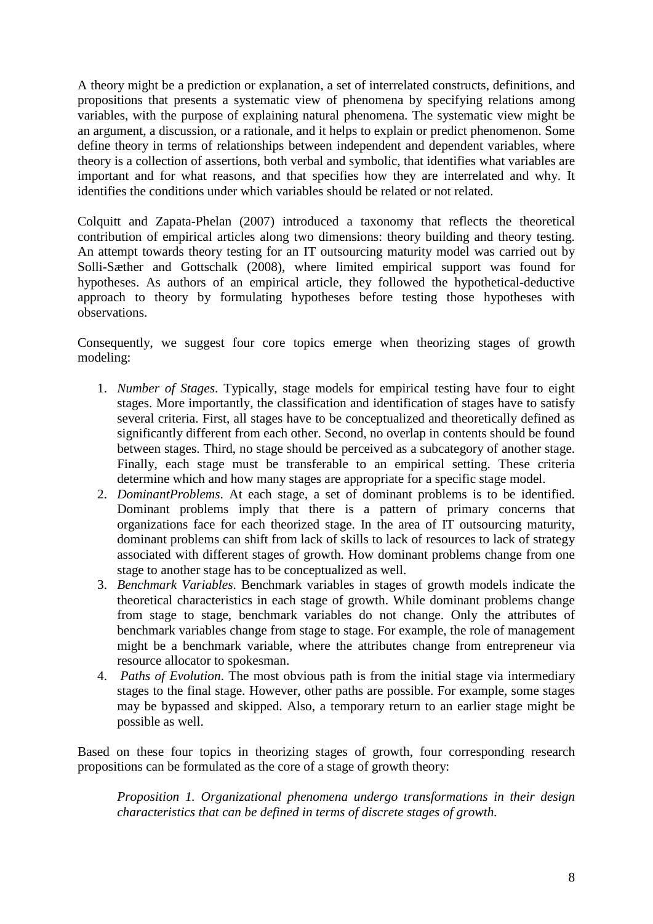A theory might be a prediction or explanation, a set of interrelated constructs, definitions, and propositions that presents a systematic view of phenomena by specifying relations among variables, with the purpose of explaining natural phenomena. The systematic view might be an argument, a discussion, or a rationale, and it helps to explain or predict phenomenon. Some define theory in terms of relationships between independent and dependent variables, where theory is a collection of assertions, both verbal and symbolic, that identifies what variables are important and for what reasons, and that specifies how they are interrelated and why. It identifies the conditions under which variables should be related or not related.

Colquitt and Zapata-Phelan (2007) introduced a taxonomy that reflects the theoretical contribution of empirical articles along two dimensions: theory building and theory testing. An attempt towards theory testing for an IT outsourcing maturity model was carried out by Solli-Sæther and Gottschalk (2008), where limited empirical support was found for hypotheses. As authors of an empirical article, they followed the hypothetical-deductive approach to theory by formulating hypotheses before testing those hypotheses with observations.

Consequently, we suggest four core topics emerge when theorizing stages of growth modeling:

- 1. *Number of Stages*. Typically, stage models for empirical testing have four to eight stages. More importantly, the classification and identification of stages have to satisfy several criteria. First, all stages have to be conceptualized and theoretically defined as significantly different from each other. Second, no overlap in contents should be found between stages. Third, no stage should be perceived as a subcategory of another stage. Finally, each stage must be transferable to an empirical setting. These criteria determine which and how many stages are appropriate for a specific stage model.
- 2. *DominantProblems*. At each stage, a set of dominant problems is to be identified. Dominant problems imply that there is a pattern of primary concerns that organizations face for each theorized stage. In the area of IT outsourcing maturity, dominant problems can shift from lack of skills to lack of resources to lack of strategy associated with different stages of growth. How dominant problems change from one stage to another stage has to be conceptualized as well.
- 3. *Benchmark Variables*. Benchmark variables in stages of growth models indicate the theoretical characteristics in each stage of growth. While dominant problems change from stage to stage, benchmark variables do not change. Only the attributes of benchmark variables change from stage to stage. For example, the role of management might be a benchmark variable, where the attributes change from entrepreneur via resource allocator to spokesman.
- 4. *Paths of Evolution*. The most obvious path is from the initial stage via intermediary stages to the final stage. However, other paths are possible. For example, some stages may be bypassed and skipped. Also, a temporary return to an earlier stage might be possible as well.

Based on these four topics in theorizing stages of growth, four corresponding research propositions can be formulated as the core of a stage of growth theory:

*Proposition 1. Organizational phenomena undergo transformations in their design characteristics that can be defined in terms of discrete stages of growth.*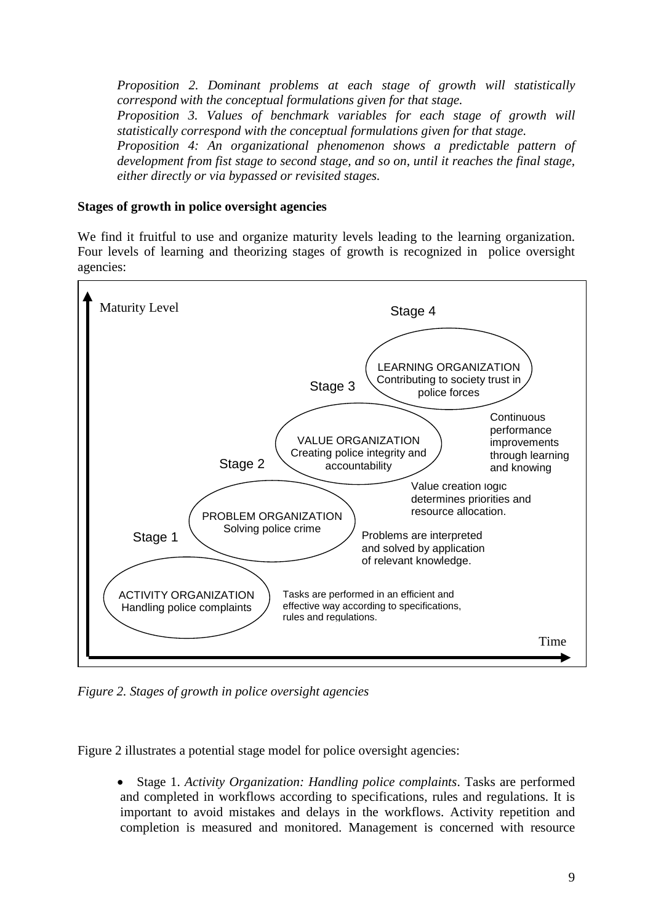*Proposition 2. Dominant problems at each stage of growth will statistically correspond with the conceptual formulations given for that stage. Proposition 3. Values of benchmark variables for each stage of growth will statistically correspond with the conceptual formulations given for that stage. Proposition 4: An organizational phenomenon shows a predictable pattern of development from fist stage to second stage, and so on, until it reaches the final stage, either directly or via bypassed or revisited stages.*

# **Stages of growth in police oversight agencies**

We find it fruitful to use and organize maturity levels leading to the learning organization. Four levels of learning and theorizing stages of growth is recognized in police oversight agencies:



*Figure 2. Stages of growth in police oversight agencies*

Figure 2 illustrates a potential stage model for police oversight agencies:

• Stage 1. *Activity Organization: Handling police complaints*. Tasks are performed and completed in workflows according to specifications, rules and regulations. It is important to avoid mistakes and delays in the workflows. Activity repetition and completion is measured and monitored. Management is concerned with resource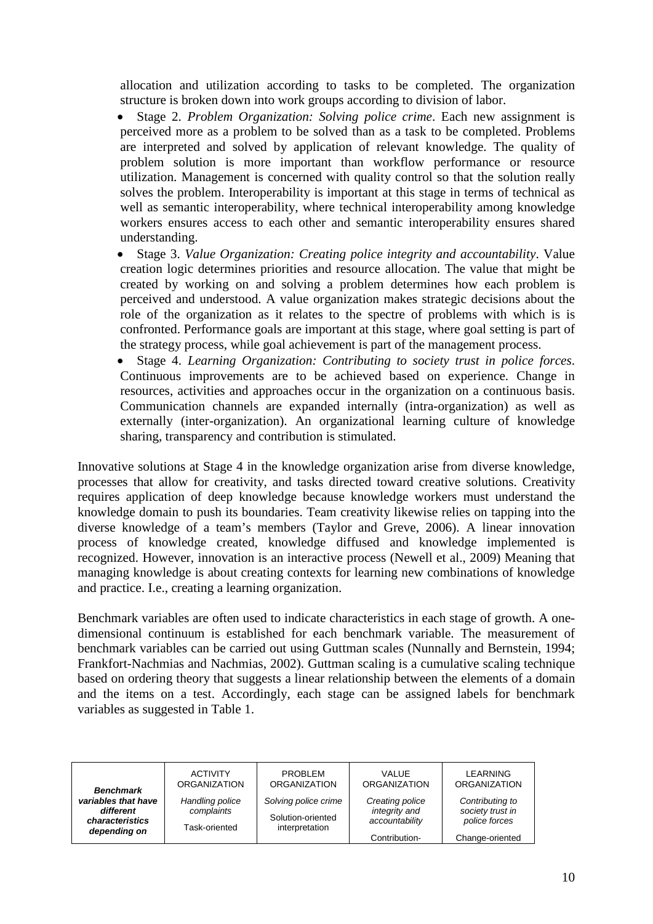allocation and utilization according to tasks to be completed. The organization structure is broken down into work groups according to division of labor.

- Stage 2. *Problem Organization: Solving police crime*. Each new assignment is perceived more as a problem to be solved than as a task to be completed. Problems are interpreted and solved by application of relevant knowledge. The quality of problem solution is more important than workflow performance or resource utilization. Management is concerned with quality control so that the solution really solves the problem. Interoperability is important at this stage in terms of technical as well as semantic interoperability, where technical interoperability among knowledge workers ensures access to each other and semantic interoperability ensures shared understanding.
- Stage 3. *Value Organization: Creating police integrity and accountability*. Value creation logic determines priorities and resource allocation. The value that might be created by working on and solving a problem determines how each problem is perceived and understood. A value organization makes strategic decisions about the role of the organization as it relates to the spectre of problems with which is is confronted. Performance goals are important at this stage, where goal setting is part of the strategy process, while goal achievement is part of the management process.
- Stage 4. *Learning Organization: Contributing to society trust in police forces*. Continuous improvements are to be achieved based on experience. Change in resources, activities and approaches occur in the organization on a continuous basis. Communication channels are expanded internally (intra-organization) as well as externally (inter-organization). An organizational learning culture of knowledge sharing, transparency and contribution is stimulated.

Innovative solutions at Stage 4 in the knowledge organization arise from diverse knowledge, processes that allow for creativity, and tasks directed toward creative solutions. Creativity requires application of deep knowledge because knowledge workers must understand the knowledge domain to push its boundaries. Team creativity likewise relies on tapping into the diverse knowledge of a team's members (Taylor and Greve, 2006). A linear innovation process of knowledge created, knowledge diffused and knowledge implemented is recognized. However, innovation is an interactive process (Newell et al., 2009) Meaning that managing knowledge is about creating contexts for learning new combinations of knowledge and practice. I.e., creating a learning organization.

Benchmark variables are often used to indicate characteristics in each stage of growth. A onedimensional continuum is established for each benchmark variable. The measurement of benchmark variables can be carried out using Guttman scales (Nunnally and Bernstein, 1994; Frankfort-Nachmias and Nachmias, 2002). Guttman scaling is a cumulative scaling technique based on ordering theory that suggests a linear relationship between the elements of a domain and the items on a test. Accordingly, each stage can be assigned labels for benchmark variables as suggested in Table 1.

| <b>Benchmark</b><br>variables that have<br>different<br>characteristics | <b>ACTIVITY</b><br><b>ORGANIZATION</b><br>Handling police<br>complaints<br>Task-oriented | PROBLEM<br><b>ORGANIZATION</b><br>Solving police crime<br>Solution-oriented<br>interpretation | VALUE<br><b>ORGANIZATION</b><br>Creating police<br>integrity and<br>accountability | LEARNING<br><b>ORGANIZATION</b><br>Contributing to<br>society trust in<br>police forces |
|-------------------------------------------------------------------------|------------------------------------------------------------------------------------------|-----------------------------------------------------------------------------------------------|------------------------------------------------------------------------------------|-----------------------------------------------------------------------------------------|
| depending on                                                            |                                                                                          |                                                                                               | Contribution-                                                                      | Change-oriented                                                                         |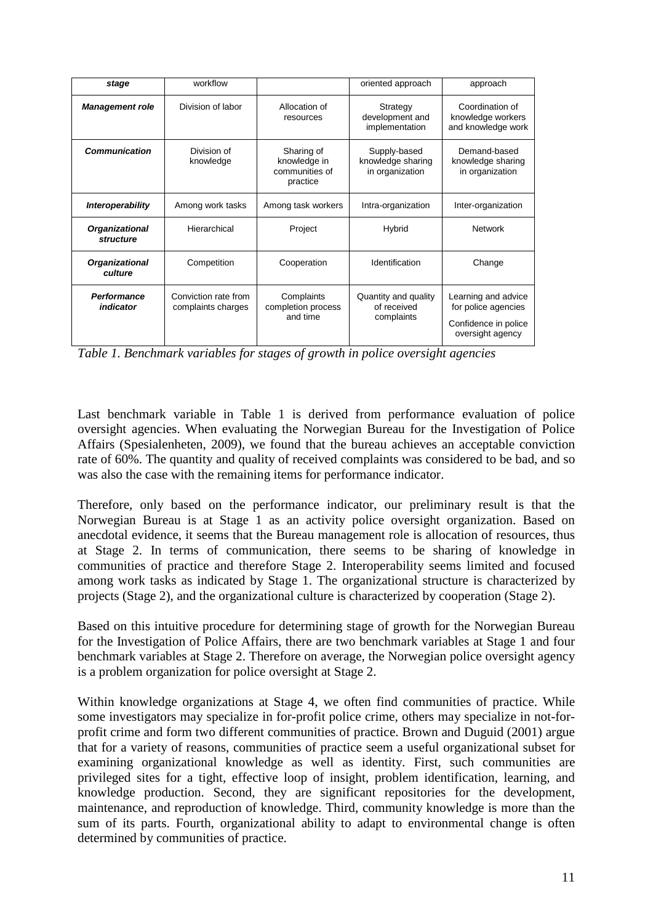| stage                              | workflow                                   |                                                          | oriented approach                                    | approach                                                                               |
|------------------------------------|--------------------------------------------|----------------------------------------------------------|------------------------------------------------------|----------------------------------------------------------------------------------------|
| <b>Management role</b>             | Division of labor                          | Allocation of<br>resources                               | Strategy<br>development and<br>implementation        | Coordination of<br>knowledge workers<br>and knowledge work                             |
| <b>Communication</b>               | Division of<br>knowledge                   | Sharing of<br>knowledge in<br>communities of<br>practice | Supply-based<br>knowledge sharing<br>in organization | Demand-based<br>knowledge sharing<br>in organization                                   |
| Interoperability                   | Among work tasks                           | Among task workers                                       | Intra-organization                                   | Inter-organization                                                                     |
| <b>Organizational</b><br>structure | Hierarchical                               | Project                                                  | Hybrid                                               | <b>Network</b>                                                                         |
| <b>Organizational</b><br>culture   | Competition                                | Cooperation                                              | Identification                                       | Change                                                                                 |
| <b>Performance</b><br>indicator    | Conviction rate from<br>complaints charges | Complaints<br>completion process<br>and time             | Quantity and quality<br>of received<br>complaints    | Learning and advice<br>for police agencies<br>Confidence in police<br>oversight agency |

*Table 1. Benchmark variables for stages of growth in police oversight agencies*

Last benchmark variable in Table 1 is derived from performance evaluation of police oversight agencies. When evaluating the Norwegian Bureau for the Investigation of Police Affairs (Spesialenheten, 2009), we found that the bureau achieves an acceptable conviction rate of 60%. The quantity and quality of received complaints was considered to be bad, and so was also the case with the remaining items for performance indicator.

Therefore, only based on the performance indicator, our preliminary result is that the Norwegian Bureau is at Stage 1 as an activity police oversight organization. Based on anecdotal evidence, it seems that the Bureau management role is allocation of resources, thus at Stage 2. In terms of communication, there seems to be sharing of knowledge in communities of practice and therefore Stage 2. Interoperability seems limited and focused among work tasks as indicated by Stage 1. The organizational structure is characterized by projects (Stage 2), and the organizational culture is characterized by cooperation (Stage 2).

Based on this intuitive procedure for determining stage of growth for the Norwegian Bureau for the Investigation of Police Affairs, there are two benchmark variables at Stage 1 and four benchmark variables at Stage 2. Therefore on average, the Norwegian police oversight agency is a problem organization for police oversight at Stage 2.

Within knowledge organizations at Stage 4, we often find communities of practice. While some investigators may specialize in for-profit police crime, others may specialize in not-forprofit crime and form two different communities of practice. Brown and Duguid (2001) argue that for a variety of reasons, communities of practice seem a useful organizational subset for examining organizational knowledge as well as identity. First, such communities are privileged sites for a tight, effective loop of insight, problem identification, learning, and knowledge production. Second, they are significant repositories for the development, maintenance, and reproduction of knowledge. Third, community knowledge is more than the sum of its parts. Fourth, organizational ability to adapt to environmental change is often determined by communities of practice.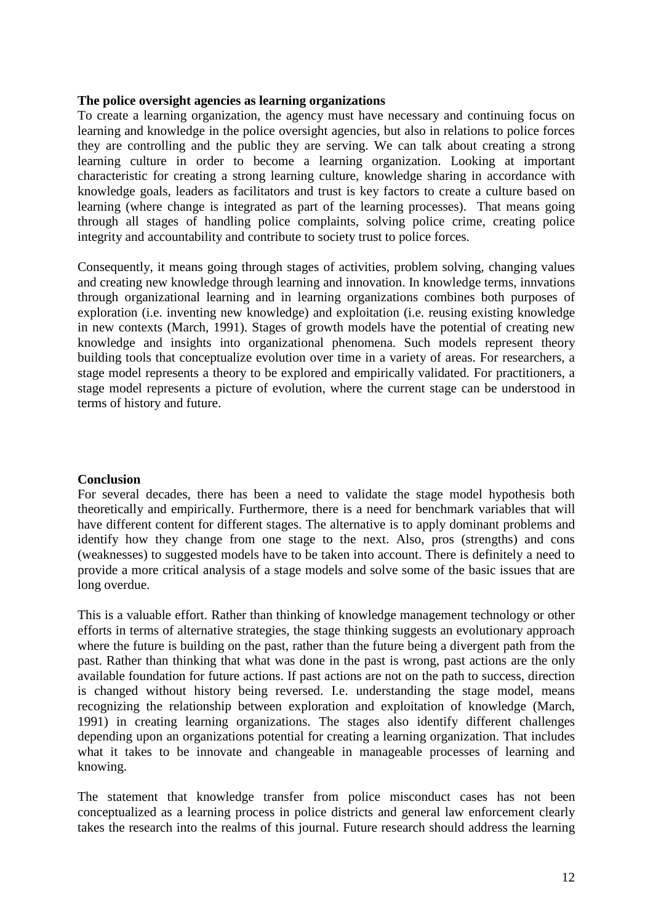#### **The police oversight agencies as learning organizations**

To create a learning organization, the agency must have necessary and continuing focus on learning and knowledge in the police oversight agencies, but also in relations to police forces they are controlling and the public they are serving. We can talk about creating a strong learning culture in order to become a learning organization. Looking at important characteristic for creating a strong learning culture, knowledge sharing in accordance with knowledge goals, leaders as facilitators and trust is key factors to create a culture based on learning (where change is integrated as part of the learning processes). That means going through all stages of handling police complaints, solving police crime, creating police integrity and accountability and contribute to society trust to police forces.

Consequently, it means going through stages of activities, problem solving, changing values and creating new knowledge through learning and innovation. In knowledge terms, innvations through organizational learning and in learning organizations combines both purposes of exploration (i.e. inventing new knowledge) and exploitation (i.e. reusing existing knowledge in new contexts (March, 1991). Stages of growth models have the potential of creating new knowledge and insights into organizational phenomena. Such models represent theory building tools that conceptualize evolution over time in a variety of areas. For researchers, a stage model represents a theory to be explored and empirically validated. For practitioners, a stage model represents a picture of evolution, where the current stage can be understood in terms of history and future.

#### **Conclusion**

For several decades, there has been a need to validate the stage model hypothesis both theoretically and empirically. Furthermore, there is a need for benchmark variables that will have different content for different stages. The alternative is to apply dominant problems and identify how they change from one stage to the next. Also, pros (strengths) and cons (weaknesses) to suggested models have to be taken into account. There is definitely a need to provide a more critical analysis of a stage models and solve some of the basic issues that are long overdue.

This is a valuable effort. Rather than thinking of knowledge management technology or other efforts in terms of alternative strategies, the stage thinking suggests an evolutionary approach where the future is building on the past, rather than the future being a divergent path from the past. Rather than thinking that what was done in the past is wrong, past actions are the only available foundation for future actions. If past actions are not on the path to success, direction is changed without history being reversed. I.e. understanding the stage model, means recognizing the relationship between exploration and exploitation of knowledge (March, 1991) in creating learning organizations. The stages also identify different challenges depending upon an organizations potential for creating a learning organization. That includes what it takes to be innovate and changeable in manageable processes of learning and knowing.

The statement that knowledge transfer from police misconduct cases has not been conceptualized as a learning process in police districts and general law enforcement clearly takes the research into the realms of this journal. Future research should address the learning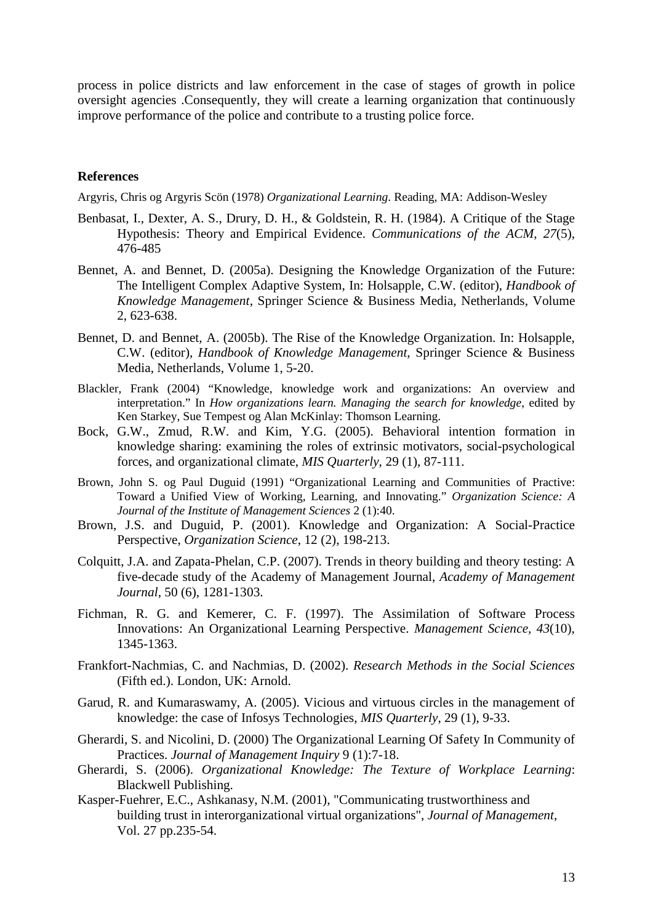process in police districts and law enforcement in the case of stages of growth in police oversight agencies .Consequently, they will create a learning organization that continuously improve performance of the police and contribute to a trusting police force.

#### **References**

Argyris, Chris og Argyris Scön (1978) *Organizational Learning*. Reading, MA: Addison-Wesley

- Benbasat, I., Dexter, A. S., Drury, D. H., & Goldstein, R. H. (1984). A Critique of the Stage Hypothesis: Theory and Empirical Evidence. *Communications of the ACM, 27*(5), 476-485
- Bennet, A. and Bennet, D. (2005a). Designing the Knowledge Organization of the Future: The Intelligent Complex Adaptive System, In: Holsapple, C.W. (editor), *Handbook of Knowledge Management*, Springer Science & Business Media, Netherlands, Volume 2, 623-638.
- Bennet, D. and Bennet, A. (2005b). The Rise of the Knowledge Organization. In: Holsapple, C.W. (editor), *Handbook of Knowledge Management*, Springer Science & Business Media, Netherlands, Volume 1, 5-20.
- Blackler, Frank (2004) "Knowledge, knowledge work and organizations: An overview and interpretation." In *How organizations learn. Managing the search for knowledge*, edited by Ken Starkey, Sue Tempest og Alan McKinlay: Thomson Learning.
- Bock, G.W., Zmud, R.W. and Kim, Y.G. (2005). Behavioral intention formation in knowledge sharing: examining the roles of extrinsic motivators, social-psychological forces, and organizational climate, *MIS Quarterly*, 29 (1), 87-111.
- Brown, John S. og Paul Duguid (1991) "Organizational Learning and Communities of Practive: Toward a Unified View of Working, Learning, and Innovating." *Organization Science: A Journal of the Institute of Management Sciences* 2 (1):40.
- Brown, J.S. and Duguid, P. (2001). Knowledge and Organization: A Social-Practice Perspective, *Organization Science*, 12 (2), 198-213.
- Colquitt, J.A. and Zapata-Phelan, C.P. (2007). Trends in theory building and theory testing: A five-decade study of the Academy of Management Journal, *Academy of Management Journal*, 50 (6), 1281-1303.
- Fichman, R. G. and Kemerer, C. F. (1997). The Assimilation of Software Process Innovations: An Organizational Learning Perspective. *Management Science, 43*(10), 1345-1363.
- Frankfort-Nachmias, C. and Nachmias, D. (2002). *Research Methods in the Social Sciences* (Fifth ed.). London, UK: Arnold.
- Garud, R. and Kumaraswamy, A. (2005). Vicious and virtuous circles in the management of knowledge: the case of Infosys Technologies, *MIS Quarterly*, 29 (1), 9-33.
- Gherardi, S. and Nicolini, D. (2000) The Organizational Learning Of Safety In Community of Practices. *Journal of Management Inquiry* 9 (1):7-18.
- Gherardi, S. (2006). *Organizational Knowledge: The Texture of Workplace Learning*: Blackwell Publishing.
- Kasper-Fuehrer, E.C., Ashkanasy, N.M. (2001), "Communicating trustworthiness and building trust in interorganizational virtual organizations", *Journal of Management*, Vol. 27 pp.235-54.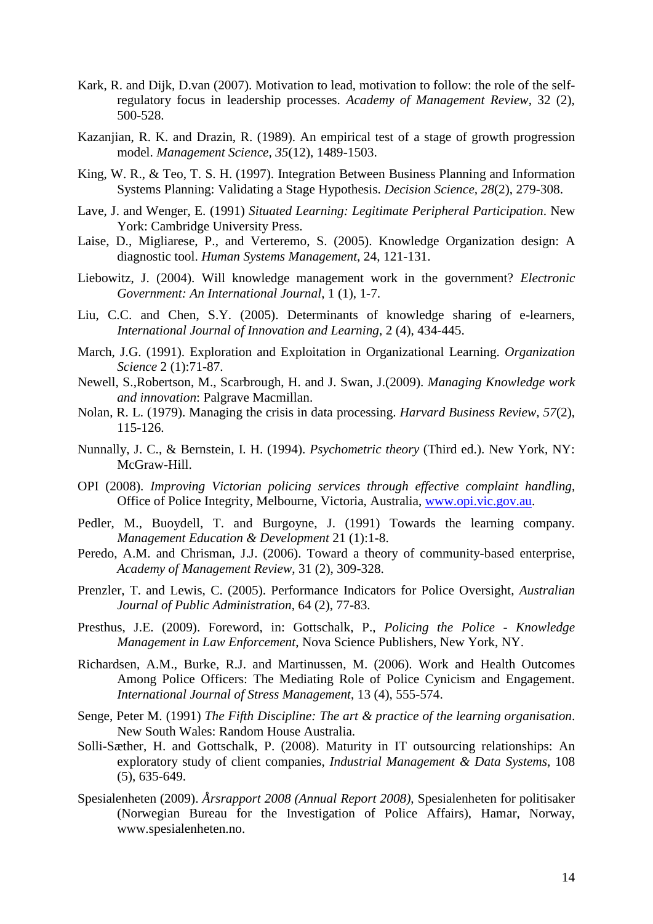- Kark, R. and Dijk, D.van (2007). Motivation to lead, motivation to follow: the role of the selfregulatory focus in leadership processes. *Academy of Management Review*, 32 (2), 500-528.
- Kazanjian, R. K. and Drazin, R. (1989). An empirical test of a stage of growth progression model. *Management Science, 35*(12), 1489-1503.
- King, W. R., & Teo, T. S. H. (1997). Integration Between Business Planning and Information Systems Planning: Validating a Stage Hypothesis. *Decision Science, 28*(2), 279-308.
- Lave, J. and Wenger, E. (1991) *Situated Learning: Legitimate Peripheral Participation*. New York: Cambridge University Press.
- Laise, D., Migliarese, P., and Verteremo, S. (2005). Knowledge Organization design: A diagnostic tool. *Human Systems Management*, 24, 121-131.
- Liebowitz, J. (2004). Will knowledge management work in the government? *Electronic Government: An International Journal*, 1 (1), 1-7.
- Liu, C.C. and Chen, S.Y. (2005). Determinants of knowledge sharing of e-learners, *International Journal of Innovation and Learning*, 2 (4), 434-445.
- March, J.G. (1991). Exploration and Exploitation in Organizational Learning. *Organization Science* 2 (1):71-87.
- Newell, S.,Robertson, M., Scarbrough, H. and J. Swan, J.(2009). *Managing Knowledge work and innovation*: Palgrave Macmillan.
- Nolan, R. L. (1979). Managing the crisis in data processing. *Harvard Business Review, 57*(2), 115-126.
- Nunnally, J. C., & Bernstein, I. H. (1994). *Psychometric theory* (Third ed.). New York, NY: McGraw-Hill.
- OPI (2008). *Improving Victorian policing services through effective complaint handling*, Office of Police Integrity, Melbourne, Victoria, Australia, [www.opi.vic.gov.au.](http://www.opi.vic.gov.au/)
- Pedler, M., Buoydell, T. and Burgoyne, J. (1991) Towards the learning company. *Management Education & Development* 21 (1):1-8.
- Peredo, A.M. and Chrisman, J.J. (2006). Toward a theory of community-based enterprise, *Academy of Management Review*, 31 (2), 309-328.
- Prenzler, T. and Lewis, C. (2005). Performance Indicators for Police Oversight, *Australian Journal of Public Administration*, 64 (2), 77-83.
- Presthus, J.E. (2009). Foreword, in: Gottschalk, P., *Policing the Police - Knowledge Management in Law Enforcement*, Nova Science Publishers, New York, NY.
- Richardsen, A.M., Burke, R.J. and Martinussen, M. (2006). Work and Health Outcomes Among Police Officers: The Mediating Role of Police Cynicism and Engagement. *International Journal of Stress Management*, 13 (4), 555-574.
- Senge, Peter M. (1991) *The Fifth Discipline: The art & practice of the learning organisation*. New South Wales: Random House Australia.
- Solli-Sæther, H. and Gottschalk, P. (2008). Maturity in IT outsourcing relationships: An exploratory study of client companies, *Industrial Management & Data Systems*, 108 (5), 635-649.
- Spesialenheten (2009). *Årsrapport 2008 (Annual Report 2008)*, Spesialenheten for politisaker (Norwegian Bureau for the Investigation of Police Affairs), Hamar, Norway, www.spesialenheten.no.